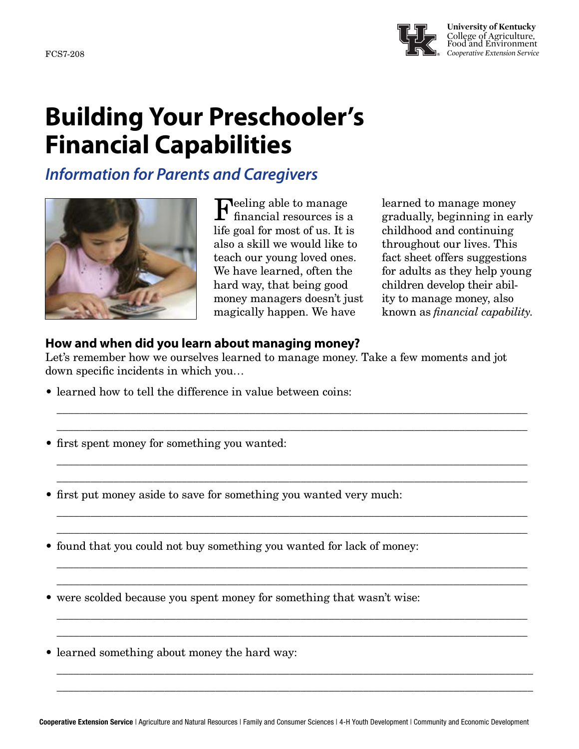

**University of Kentucky** College of Agriculture, Food and Environment FCS7-208 *Cooperative Extension Service*

# **Building Your Preschooler's Financial Capabilities**

*Information for Parents and Caregivers*



**Feeling able to manage** financial resources is a life goal for most of us. It is also a skill we would like to teach our young loved ones. We have learned, often the hard way, that being good money managers doesn't just magically happen. We have

learned to manage money gradually, beginning in early childhood and continuing throughout our lives. This fact sheet offers suggestions for adults as they help young children develop their ability to manage money, also known as *financial capability*.

## **How and when did you learn about managing money?**

Let's remember how we ourselves learned to manage money. Take a few moments and jot down specific incidents in which you…

\_\_\_\_\_\_\_\_\_\_\_\_\_\_\_\_\_\_\_\_\_\_\_\_\_\_\_\_\_\_\_\_\_\_\_\_\_\_\_\_\_\_\_\_\_\_\_\_\_\_\_\_\_\_\_\_\_\_\_\_\_\_\_\_\_\_\_\_\_\_\_\_\_\_\_\_\_\_\_\_\_\_\_ \_\_\_\_\_\_\_\_\_\_\_\_\_\_\_\_\_\_\_\_\_\_\_\_\_\_\_\_\_\_\_\_\_\_\_\_\_\_\_\_\_\_\_\_\_\_\_\_\_\_\_\_\_\_\_\_\_\_\_\_\_\_\_\_\_\_\_\_\_\_\_\_\_\_\_\_\_\_\_\_\_\_\_

\_\_\_\_\_\_\_\_\_\_\_\_\_\_\_\_\_\_\_\_\_\_\_\_\_\_\_\_\_\_\_\_\_\_\_\_\_\_\_\_\_\_\_\_\_\_\_\_\_\_\_\_\_\_\_\_\_\_\_\_\_\_\_\_\_\_\_\_\_\_\_\_\_\_\_\_\_\_\_\_\_\_\_ \_\_\_\_\_\_\_\_\_\_\_\_\_\_\_\_\_\_\_\_\_\_\_\_\_\_\_\_\_\_\_\_\_\_\_\_\_\_\_\_\_\_\_\_\_\_\_\_\_\_\_\_\_\_\_\_\_\_\_\_\_\_\_\_\_\_\_\_\_\_\_\_\_\_\_\_\_\_\_\_\_\_\_

\_\_\_\_\_\_\_\_\_\_\_\_\_\_\_\_\_\_\_\_\_\_\_\_\_\_\_\_\_\_\_\_\_\_\_\_\_\_\_\_\_\_\_\_\_\_\_\_\_\_\_\_\_\_\_\_\_\_\_\_\_\_\_\_\_\_\_\_\_\_\_\_\_\_\_\_\_\_\_\_\_\_\_ \_\_\_\_\_\_\_\_\_\_\_\_\_\_\_\_\_\_\_\_\_\_\_\_\_\_\_\_\_\_\_\_\_\_\_\_\_\_\_\_\_\_\_\_\_\_\_\_\_\_\_\_\_\_\_\_\_\_\_\_\_\_\_\_\_\_\_\_\_\_\_\_\_\_\_\_\_\_\_\_\_\_\_

\_\_\_\_\_\_\_\_\_\_\_\_\_\_\_\_\_\_\_\_\_\_\_\_\_\_\_\_\_\_\_\_\_\_\_\_\_\_\_\_\_\_\_\_\_\_\_\_\_\_\_\_\_\_\_\_\_\_\_\_\_\_\_\_\_\_\_\_\_\_\_\_\_\_\_\_\_\_\_\_\_\_\_ \_\_\_\_\_\_\_\_\_\_\_\_\_\_\_\_\_\_\_\_\_\_\_\_\_\_\_\_\_\_\_\_\_\_\_\_\_\_\_\_\_\_\_\_\_\_\_\_\_\_\_\_\_\_\_\_\_\_\_\_\_\_\_\_\_\_\_\_\_\_\_\_\_\_\_\_\_\_\_\_\_\_\_

\_\_\_\_\_\_\_\_\_\_\_\_\_\_\_\_\_\_\_\_\_\_\_\_\_\_\_\_\_\_\_\_\_\_\_\_\_\_\_\_\_\_\_\_\_\_\_\_\_\_\_\_\_\_\_\_\_\_\_\_\_\_\_\_\_\_\_\_\_\_\_\_\_\_\_\_\_\_\_\_\_\_\_ \_\_\_\_\_\_\_\_\_\_\_\_\_\_\_\_\_\_\_\_\_\_\_\_\_\_\_\_\_\_\_\_\_\_\_\_\_\_\_\_\_\_\_\_\_\_\_\_\_\_\_\_\_\_\_\_\_\_\_\_\_\_\_\_\_\_\_\_\_\_\_\_\_\_\_\_\_\_\_\_\_\_\_

\_\_\_\_\_\_\_\_\_\_\_\_\_\_\_\_\_\_\_\_\_\_\_\_\_\_\_\_\_\_\_\_\_\_\_\_\_\_\_\_\_\_\_\_\_\_\_\_\_\_\_\_\_\_\_\_\_\_\_\_\_\_\_\_\_\_\_\_\_\_\_\_\_\_\_\_\_\_\_\_\_\_\_\_ \_\_\_\_\_\_\_\_\_\_\_\_\_\_\_\_\_\_\_\_\_\_\_\_\_\_\_\_\_\_\_\_\_\_\_\_\_\_\_\_\_\_\_\_\_\_\_\_\_\_\_\_\_\_\_\_\_\_\_\_\_\_\_\_\_\_\_\_\_\_\_\_\_\_\_\_\_\_\_\_\_\_\_\_

- learned how to tell the difference in value between coins:
- first spent money for something you wanted:

• first put money aside to save for something you wanted very much:

• found that you could not buy something you wanted for lack of money:

were scolded because you spent money for something that wasn't wise:

• learned something about money the hard way: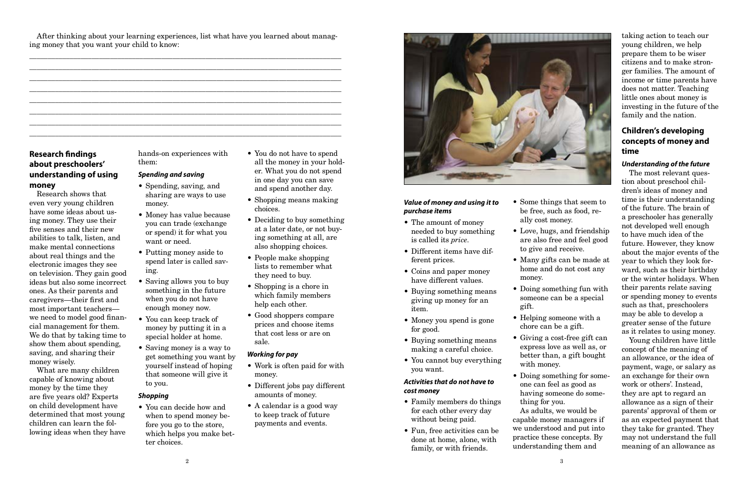After thinking about your learning experiences, list what have you learned about managing money that you want your child to know:

\_\_\_\_\_\_\_\_\_\_\_\_\_\_\_\_\_\_\_\_\_\_\_\_\_\_\_\_\_\_\_\_\_\_\_\_\_\_\_\_\_\_\_\_\_\_\_\_\_\_\_\_\_\_\_\_\_\_\_\_\_\_\_\_\_\_\_\_\_\_\_\_\_\_\_\_\_\_\_\_\_\_\_\_\_ \_\_\_\_\_\_\_\_\_\_\_\_\_\_\_\_\_\_\_\_\_\_\_\_\_\_\_\_\_\_\_\_\_\_\_\_\_\_\_\_\_\_\_\_\_\_\_\_\_\_\_\_\_\_\_\_\_\_\_\_\_\_\_\_\_\_\_\_\_\_\_\_\_\_\_\_\_\_\_\_\_\_\_\_\_ \_\_\_\_\_\_\_\_\_\_\_\_\_\_\_\_\_\_\_\_\_\_\_\_\_\_\_\_\_\_\_\_\_\_\_\_\_\_\_\_\_\_\_\_\_\_\_\_\_\_\_\_\_\_\_\_\_\_\_\_\_\_\_\_\_\_\_\_\_\_\_\_\_\_\_\_\_\_\_\_\_\_\_\_\_ \_\_\_\_\_\_\_\_\_\_\_\_\_\_\_\_\_\_\_\_\_\_\_\_\_\_\_\_\_\_\_\_\_\_\_\_\_\_\_\_\_\_\_\_\_\_\_\_\_\_\_\_\_\_\_\_\_\_\_\_\_\_\_\_\_\_\_\_\_\_\_\_\_\_\_\_\_\_\_\_\_\_\_\_\_ \_\_\_\_\_\_\_\_\_\_\_\_\_\_\_\_\_\_\_\_\_\_\_\_\_\_\_\_\_\_\_\_\_\_\_\_\_\_\_\_\_\_\_\_\_\_\_\_\_\_\_\_\_\_\_\_\_\_\_\_\_\_\_\_\_\_\_\_\_\_\_\_\_\_\_\_\_\_\_\_\_\_\_\_\_ \_\_\_\_\_\_\_\_\_\_\_\_\_\_\_\_\_\_\_\_\_\_\_\_\_\_\_\_\_\_\_\_\_\_\_\_\_\_\_\_\_\_\_\_\_\_\_\_\_\_\_\_\_\_\_\_\_\_\_\_\_\_\_\_\_\_\_\_\_\_\_\_\_\_\_\_\_\_\_\_\_\_\_\_\_ \_\_\_\_\_\_\_\_\_\_\_\_\_\_\_\_\_\_\_\_\_\_\_\_\_\_\_\_\_\_\_\_\_\_\_\_\_\_\_\_\_\_\_\_\_\_\_\_\_\_\_\_\_\_\_\_\_\_\_\_\_\_\_\_\_\_\_\_\_\_\_\_\_\_\_\_\_\_\_\_\_\_\_\_\_ \_\_\_\_\_\_\_\_\_\_\_\_\_\_\_\_\_\_\_\_\_\_\_\_\_\_\_\_\_\_\_\_\_\_\_\_\_\_\_\_\_\_\_\_\_\_\_\_\_\_\_\_\_\_\_\_\_\_\_\_\_\_\_\_\_\_\_\_\_\_\_\_\_\_\_\_\_\_\_\_\_\_\_\_\_

# **Research findings about preschoolers' understanding of using money**

Research shows that even very young children have some ideas about using money. They use their five senses and their new abilities to talk, listen, and make mental connections about real things and the electronic images they see on television. They gain good ideas but also some incorrect ones. As their parents and caregivers—their first and most important teachers we need to model good financial management for them. We do that by taking time to show them about spending, saving, and sharing their money wisely.

• You do not have to spend all the money in your holder. What you do not spend in one day you can save and spend another day.

- Shopping means making choices.
- Deciding to buy something at a later date, or not buying something at all, are also shopping choices.
- People make shopping lists to remember what they need to buy.
- Shopping is a chore in which family members help each other.
- Good shoppers compare prices and choose items that cost less or are on sale.

What are many children capable of knowing about money by the time they are five years old? Experts on child development have determined that most young children can learn the following ideas when they have hands-on experiences with them:

#### *Spending and saving*

- Spending, saving, and sharing are ways to use money.
- Money has value because you can trade (exchange or spend) it for what you want or need.
- Putting money aside to spend later is called saving.
- Saving allows you to buy something in the future when you do not have enough money now.
- You can keep track of money by putting it in a special holder at home.
- Saving money is a way to get something you want by yourself instead of hoping that someone will give it to you.

#### *Shopping*

• You can decide how and when to spend money before you go to the store, which helps you make better choices.

#### *Working for pay*

- Work is often paid for with money.
- Different jobs pay different amounts of money.
- A calendar is a good way to keep track of future payments and events.



# *Value of money and using it to purchase items*

- The amount of money needed to buy something is called its *price*.
- Different items have different prices.
- Coins and paper money have different values.
- Buying something means giving up money for an item.
- Money you spend is gone for good.
- Buying something means making a careful choice.
- You cannot buy everything you want.

#### *Activities that do not have to cost money*

- Family members do things for each other every day without being paid.
- Fun, free activities can be done at home, alone, with family, or with friends.
- Some things that seem to be free, such as food, really cost money.
- Love, hugs, and friendship are also free and feel good to give and receive.
- Many gifts can be made at home and do not cost any money.
- Doing something fun with someone can be a special gift.
- Helping someone with a chore can be a gift.
- Giving a cost-free gift can express love as well as, or better than, a gift bought with money.
- Doing something for someone can feel as good as having someone do something for you. As adults, we would be capable money managers if we understood and put into practice these concepts. By understanding them and

taking action to teach our young children, we help prepare them to be wiser citizens and to make stronger families. The amount of income or time parents have does not matter. Teaching little ones about money is investing in the future of the family and the nation.

# **Children's developing concepts of money and time**

# *Understanding of the future*

The most relevant question about preschool children's ideas of money and time is their understanding of the future. The brain of a preschooler has generally not developed well enough to have much idea of the future. However, they know about the major events of the year to which they look forward, such as their birthday or the winter holidays. When their parents relate saving or spending money to events such as that, preschoolers may be able to develop a greater sense of the future as it relates to using money.

Young children have little concept of the meaning of an allowance, or the idea of payment, wage, or salary as an exchange for their own work or others'. Instead, they are apt to regard an allowance as a sign of their parents' approval of them or as an expected payment that they take for granted. They may not understand the full meaning of an allowance as